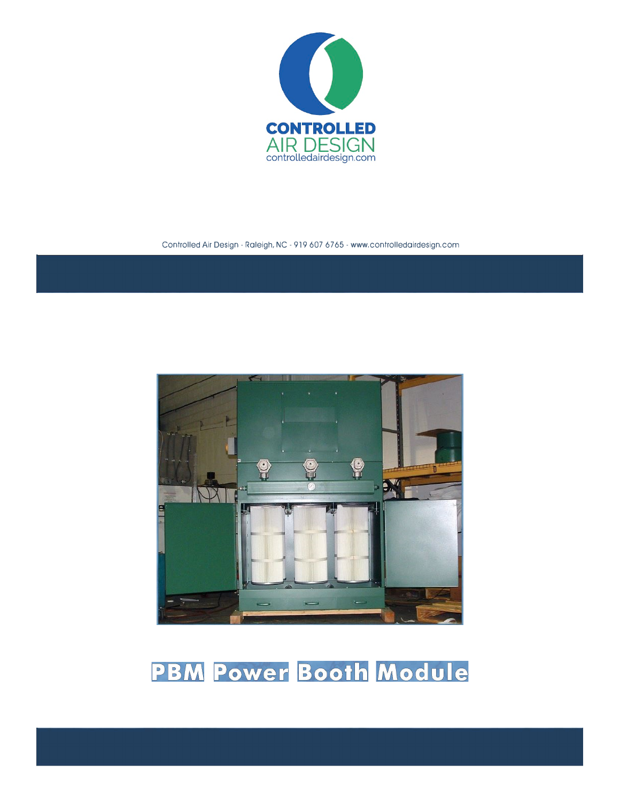

Controlled Air Design - Raleigh, NC - 919 607 6765 - www.controlledairdesign.com



# **PBM Power Booth Module**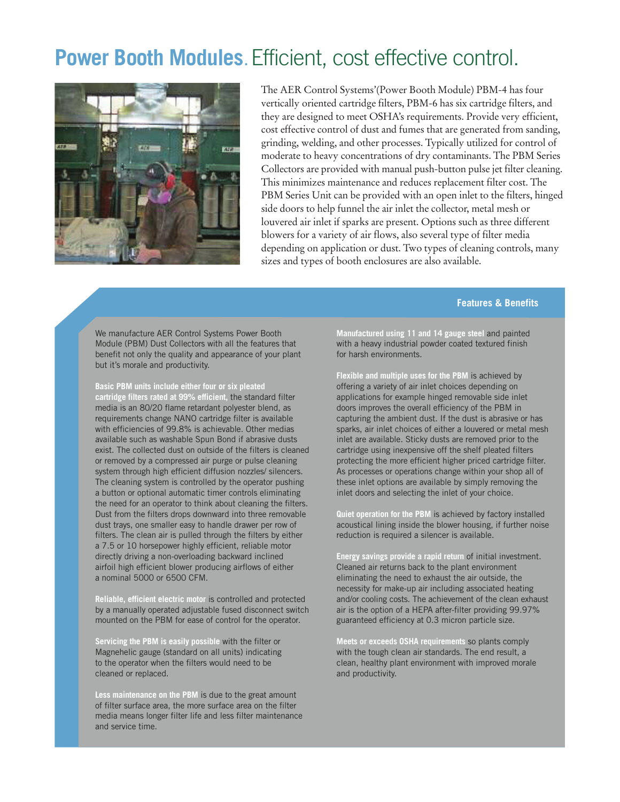### **Power Booth Modules.** Efficient, cost effective control.



The AER Control Systems'(Power Booth Module) PBM-4 has four vertically oriented cartridge filters, PBM-6 has six cartridge filters, and they are designed to meet OSHA's requirements. Provide very efficient, cost effective control of dust and fumes that are generated from sanding, grinding, welding, and other processes. Typically utilized for control of moderate to heavy concentrations of dry contaminants. The PBM Series Collectors are provided with manual push-button pulse jet filter cleaning. This minimizes maintenance and reduces replacement filter cost. The PBM Series Unit can be provided with an open inlet to the filters, hinged side doors to help funnel the air inlet the collector, metal mesh or louvered air inlet if sparks are present. Options such as three different blowers for a variety of air flows, also several type of filter media depending on application or dust. Two types of cleaning controls, many sizes and types of booth enclosures are also available.

#### **Features & Benefits**

We manufacture AER Control Systems Power Booth Module (PBM) Dust Collectors with all the features that benefit not only the quality and appearance of your plant but it's morale and productivity.

**Basic PBM units include either four or six pleated cartridge filters rated at 99% efficient,** the standard filter media is an 80/20 flame retardant polyester blend, as requirements change NANO cartridge filter is available with efficiencies of 99.8% is achievable. Other medias available such as washable Spun Bond if abrasive dusts exist. The collected dust on outside of the filters is cleaned or removed by a compressed air purge or pulse cleaning system through high efficient diffusion nozzles/ silencers. The cleaning system is controlled by the operator pushing a button or optional automatic timer controls eliminating the need for an operator to think about cleaning the filters. Dust from the filters drops downward into three removable dust trays, one smaller easy to handle drawer per row of filters. The clean air is pulled through the filters by either a 7.5 or 10 horsepower highly efficient, reliable motor directly driving a non-overloading backward inclined airfoil high efficient blower producing airflows of either a nominal 5000 or 6500 CFM.

**Reliable, efficient electric motor** is controlled and protected by a manually operated adjustable fused disconnect switch mounted on the PBM for ease of control for the operator.

**Servicing the PBM is easily possible** with the filter or Magnehelic gauge (standard on all units) indicating to the operator when the filters would need to be cleaned or replaced.

**Less maintenance on the PBM** is due to the great amount of filter surface area, the more surface area on the filter media means longer filter life and less filter maintenance and service time.

**Manufactured using 11 and 14 gauge steel** and painted with a heavy industrial powder coated textured finish for harsh environments.

**Flexible and multiple uses for the PBM** is achieved by offering a variety of air inlet choices depending on applications for example hinged removable side inlet doors improves the overall efficiency of the PBM in capturing the ambient dust. If the dust is abrasive or has sparks, air inlet choices of either a louvered or metal mesh inlet are available. Sticky dusts are removed prior to the cartridge using inexpensive off the shelf pleated filters protecting the more efficient higher priced cartridge filter. As processes or operations change within your shop all of these inlet options are available by simply removing the inlet doors and selecting the inlet of your choice.

**Quiet operation for the PBM** is achieved by factory installed acoustical lining inside the blower housing, if further noise reduction is required a silencer is available.

**Energy savings provide a rapid return** of initial investment. Cleaned air returns back to the plant environment eliminating the need to exhaust the air outside, the necessity for make-up air including associated heating and/or cooling costs. The achievement of the clean exhaust air is the option of a HEPA after-filter providing 99.97% guaranteed efficiency at 0.3 micron particle size.

**Meets or exceeds OSHA requirements** so plants comply with the tough clean air standards. The end result, a clean, healthy plant environment with improved morale and productivity.